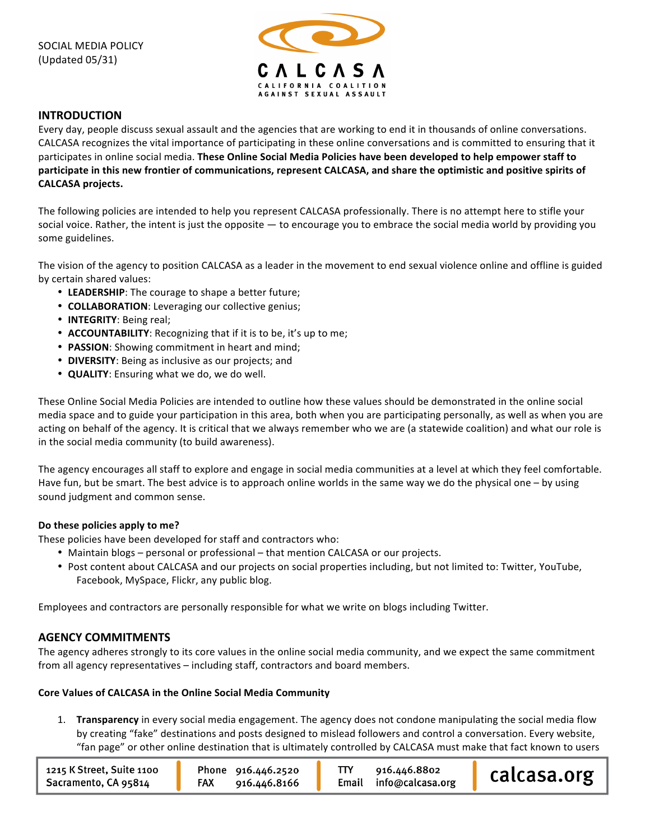

## **INTRODUCTION**

Every day, people discuss sexual assault and the agencies that are working to end it in thousands of online conversations. CALCASA recognizes the vital importance of participating in these online conversations and is committed to ensuring that it participates in online social media. These Online Social Media Policies have been developed to help empower staff to participate in this new frontier of communications, represent CALCASA, and share the optimistic and positive spirits of **CALCASA)projects.**

The following policies are intended to help you represent CALCASA professionally. There is no attempt here to stifle your social voice. Rather, the intent is just the opposite — to encourage you to embrace the social media world by providing you some guidelines.

The vision of the agency to position CALCASA as a leader in the movement to end sexual violence online and offline is guided by certain shared values:

- LEADERSHIP: The courage to shape a better future;
- **COLLABORATION**: Leveraging our collective genius;
- **INTEGRITY**: Being real;
- **ACCOUNTABILITY:** Recognizing that if it is to be, it's up to me;
- **PASSION**: Showing commitment in heart and mind;
- **DIVERSITY**: Being as inclusive as our projects; and
- QUALITY: Ensuring what we do, we do well.

These Online Social Media Policies are intended to outline how these values should be demonstrated in the online social media space and to guide your participation in this area, both when you are participating personally, as well as when you are acting on behalf of the agency. It is critical that we always remember who we are (a statewide coalition) and what our role is in the social media community (to build awareness).

The agency encourages all staff to explore and engage in social media communities at a level at which they feel comfortable. Have fun, but be smart. The best advice is to approach online worlds in the same way we do the physical one – by using sound judgment and common sense.

### Do these policies apply to me?

These policies have been developed for staff and contractors who:

- Maintain blogs personal or professional that mention CALCASA or our projects.
- Post content about CALCASA and our projects on social properties including, but not limited to: Twitter, YouTube, Facebook, MySpace, Flickr, any public blog.

Employees and contractors are personally responsible for what we write on blogs including Twitter.

## **AGENCY)COMMITMENTS**

The agency adheres strongly to its core values in the online social media community, and we expect the same commitment from all agency representatives – including staff, contractors and board members.

### Core Values of CALCASA in the Online Social Media Community

1. **Transparency** in every social media engagement. The agency does not condone manipulating the social media flow by creating "fake" destinations and posts designed to mislead followers and control a conversation. Every website, "fan page" or other online destination that is ultimately controlled by CALCASA must make that fact known to users

| 1215 K Street, Suite 1100<br>Sacramento, CA 95814 | Phone 916.446.2520<br>FAX<br>916.446.8166 | 916.446.8802<br>Email info@calcasa.org | calcasa.org |
|---------------------------------------------------|-------------------------------------------|----------------------------------------|-------------|
|---------------------------------------------------|-------------------------------------------|----------------------------------------|-------------|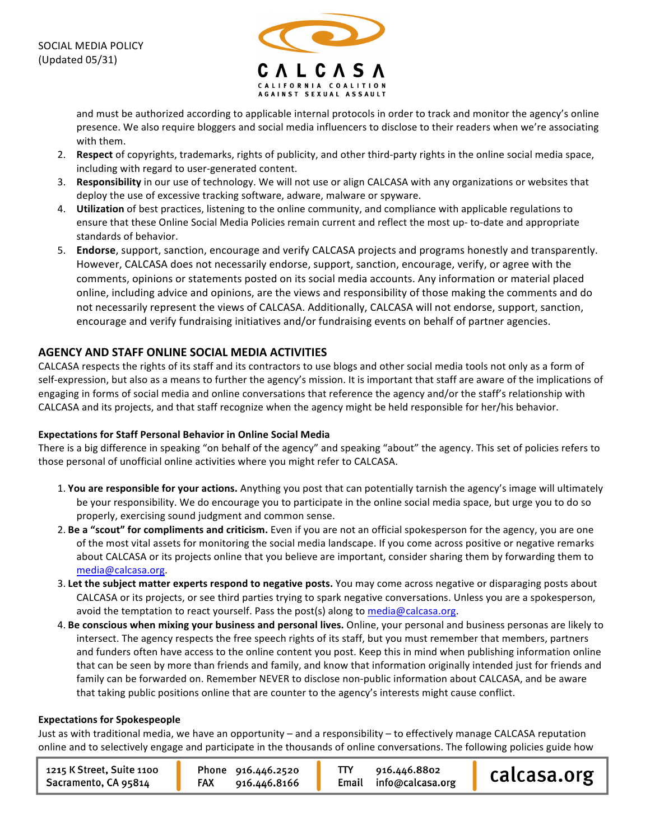

and must be authorized according to applicable internal protocols in order to track and monitor the agency's online presence. We also require bloggers and social media influencers to disclose to their readers when we're associating with them.

- 2. Respect of copyrights, trademarks, rights of publicity, and other third-party rights in the online social media space, including with regard to user-generated content.
- 3. **Responsibility** in our use of technology. We will not use or align CALCASA with any organizations or websites that deploy the use of excessive tracking software, adware, malware or spyware.
- 4. **Utilization** of best practices, listening to the online community, and compliance with applicable regulations to ensure that these Online Social Media Policies remain current and reflect the most up-to-date and appropriate standards of behavior.
- 5. **Endorse**, support, sanction, encourage and verify CALCASA projects and programs honestly and transparently. However, CALCASA does not necessarily endorse, support, sanction, encourage, verify, or agree with the comments, opinions or statements posted on its social media accounts. Any information or material placed online, including advice and opinions, are the views and responsibility of those making the comments and do not necessarily represent the views of CALCASA. Additionally, CALCASA will not endorse, support, sanction, encourage and verify fundraising initiatives and/or fundraising events on behalf of partner agencies.

# **AGENCY)AND)STAFF)ONLINE)SOCIAL)MEDIA)ACTIVITIES**

CALCASA respects the rights of its staff and its contractors to use blogs and other social media tools not only as a form of self-expression, but also as a means to further the agency's mission. It is important that staff are aware of the implications of engaging in forms of social media and online conversations that reference the agency and/or the staff's relationship with CALCASA and its projects, and that staff recognize when the agency might be held responsible for her/his behavior.

## **Expectations for Staff Personal Behavior in Online Social Media**

There is a big difference in speaking "on behalf of the agency" and speaking "about" the agency. This set of policies refers to those personal of unofficial online activities where you might refer to CALCASA.

- 1. You are responsible for your actions. Anything you post that can potentially tarnish the agency's image will ultimately be your responsibility. We do encourage you to participate in the online social media space, but urge you to do so properly, exercising sound judgment and common sense.
- 2. Be a "scout" for compliments and criticism. Even if you are not an official spokesperson for the agency, you are one of the most vital assets for monitoring the social media landscape. If you come across positive or negative remarks about CALCASA or its projects online that you believe are important, consider sharing them by forwarding them to media@calcasa.org.
- 3. Let the subject matter experts respond to negative posts. You may come across negative or disparaging posts about CALCASA or its projects, or see third parties trying to spark negative conversations. Unless you are a spokesperson, avoid the temptation to react yourself. Pass the post(s) along to media@calcasa.org.
- 4. Be conscious when mixing your business and personal lives. Online, your personal and business personas are likely to intersect. The agency respects the free speech rights of its staff, but you must remember that members, partners and funders often have access to the online content you post. Keep this in mind when publishing information online that can be seen by more than friends and family, and know that information originally intended just for friends and family can be forwarded on. Remember NEVER to disclose non-public information about CALCASA, and be aware that taking public positions online that are counter to the agency's interests might cause conflict.

### **Expectations for Spokespeople**

Just as with traditional media, we have an opportunity – and a responsibility – to effectively manage CALCASA reputation online and to selectively engage and participate in the thousands of online conversations. The following policies guide how

| 1215 K Street, Suite 1100 | Phone 916.446.2520 | 916.446.8802           | calcasa.org |
|---------------------------|--------------------|------------------------|-------------|
| Sacramento, CA 95814      | FAX 916.446.8166   | Email info@calcasa.org |             |